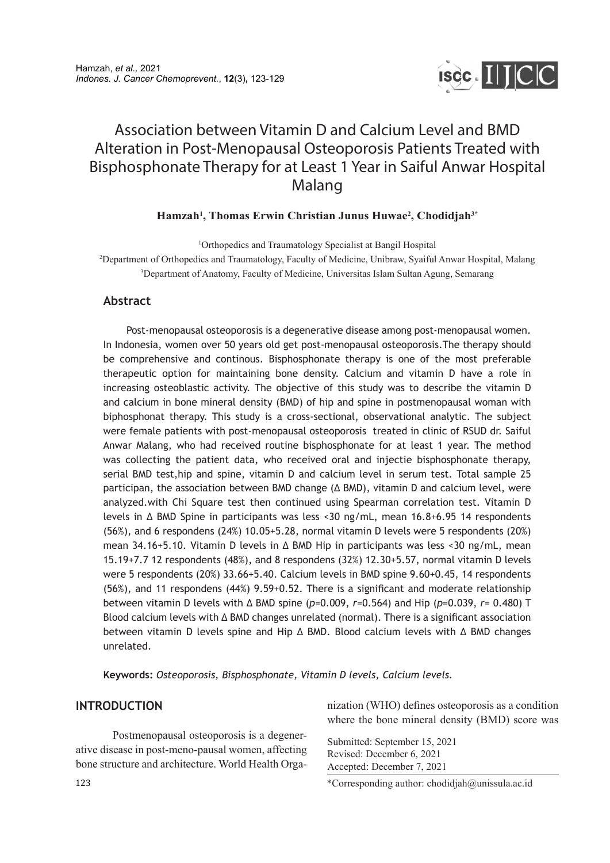

# Association between Vitamin D and Calcium Level and BMD Alteration in Post-Menopausal Osteoporosis Patients Treated with Bisphosphonate Therapy for at Least 1 Year in Saiful Anwar Hospital Malang

## **Hamzah1 , Thomas Erwin Christian Junus Huwae2 , Chodidjah3\***

1 Orthopedics and Traumatology Specialist at Bangil Hospital 2 Department of Orthopedics and Traumatology, Faculty of Medicine, Unibraw, Syaiful Anwar Hospital, Malang 3 Department of Anatomy, Faculty of Medicine, Universitas Islam Sultan Agung, Semarang

## **Abstract**

Post-menopausal osteoporosis is a degenerative disease among post-menopausal women. In Indonesia, women over 50 years old get post-menopausal osteoporosis.The therapy should be comprehensive and continous. Bisphosphonate therapy is one of the most preferable therapeutic option for maintaining bone density. Calcium and vitamin D have a role in increasing osteoblastic activity. The objective of this study was to describe the vitamin D and calcium in bone mineral density (BMD) of hip and spine in postmenopausal woman with biphosphonat therapy. This study is a cross-sectional, observational analytic. The subject were female patients with post-menopausal osteoporosis treated in clinic of RSUD dr. Saiful Anwar Malang, who had received routine bisphosphonate for at least 1 year. The method was collecting the patient data, who received oral and injectie bisphosphonate therapy, serial BMD test,hip and spine, vitamin D and calcium level in serum test. Total sample 25 participan, the association between BMD change (Δ BMD), vitamin D and calcium level, were analyzed.with Chi Square test then continued using Spearman correlation test. Vitamin D levels in Δ BMD Spine in participants was less <30 ng/mL, mean 16.8+6.95 14 respondents (56%), and 6 respondens (24%) 10.05+5.28, normal vitamin D levels were 5 respondents (20%) mean 34.16+5.10. Vitamin D levels in Δ BMD Hip in participants was less <30 ng/mL, mean 15.19+7.7 12 respondents (48%), and 8 respondens (32%) 12.30+5.57, normal vitamin D levels were 5 respondents (20%) 33.66+5.40. Calcium levels in BMD spine 9.60+0.45, 14 respondents (56%), and 11 respondens (44%) 9.59+0.52. There is a significant and moderate relationship between vitamin D levels with Δ BMD spine (*p*=0.009, *r*=0.564) and Hip (*p*=0.039, *r*= 0.480) T Blood calcium levels with Δ BMD changes unrelated (normal). There is a significant association between vitamin D levels spine and Hip Δ BMD. Blood calcium levels with Δ BMD changes unrelated.

**Keywords:** *Osteoporosis, Bisphosphonate, Vitamin D levels, Calcium levels.*

## **INTRODUCTION**

Postmenopausal osteoporosis is a degenerative disease in post-meno-pausal women, affecting bone structure and architecture. World Health Organization (WHO) defines osteoporosis as a condition where the bone mineral density (BMD) score was

Submitted: September 15, 2021 Revised: December 6, 2021 Accepted: December 7, 2021

\*Corresponding author: chodidjah@unissula.ac.id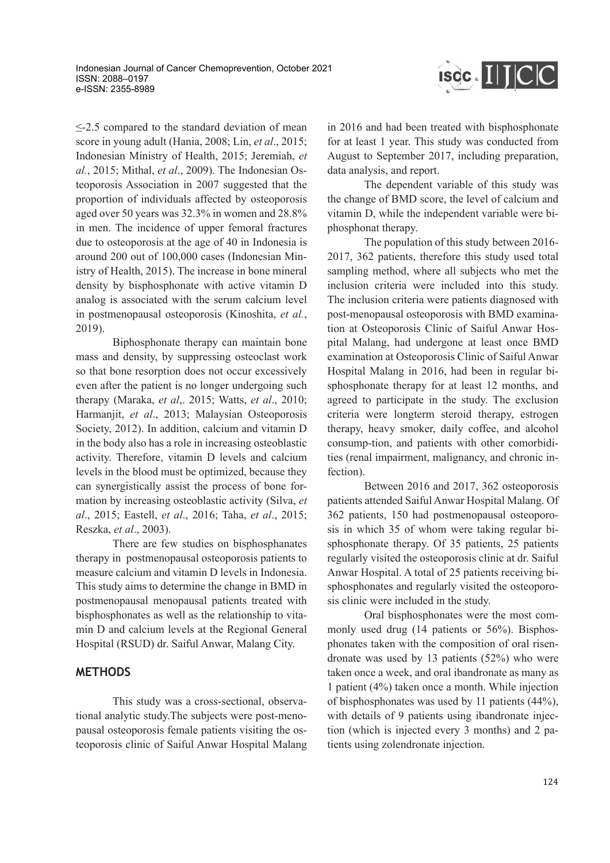

≤-2.5 compared to the standard deviation of mean score in young adult (Hania, 2008; Lin, *et al*., 2015; Indonesian Ministry of Health, 2015; Jeremiah, *et al.*, 2015; Mithal, *et al*., 2009). The Indonesian Osteoporosis Association in 2007 suggested that the proportion of individuals affected by osteoporosis aged over 50 years was 32.3% in women and 28.8% in men. The incidence of upper femoral fractures due to osteoporosis at the age of 40 in Indonesia is around 200 out of 100,000 cases (Indonesian Ministry of Health, 2015). The increase in bone mineral density by bisphosphonate with active vitamin D analog is associated with the serum calcium level in postmenopausal osteoporosis (Kinoshita, *et al.*, 2019).

Biphosphonate therapy can maintain bone mass and density, by suppressing osteoclast work so that bone resorption does not occur excessively even after the patient is no longer undergoing such therapy (Maraka, *et al*,. 2015; Watts, *et al*., 2010; Harmanjit, *et al*., 2013; Malaysian Osteoporosis Society, 2012). In addition, calcium and vitamin D in the body also has a role in increasing osteoblastic activity. Therefore, vitamin D levels and calcium levels in the blood must be optimized, because they can synergistically assist the process of bone formation by increasing osteoblastic activity (Silva, *et al*., 2015; Eastell, *et al*., 2016; Taha, *et al*., 2015; Reszka, *et al*., 2003).

There are few studies on bisphosphanates therapy in postmenopausal osteoporosis patients to measure calcium and vitamin D levels in Indonesia. This study aims to determine the change in BMD in postmenopausal menopausal patients treated with bisphosphonates as well as the relationship to vitamin D and calcium levels at the Regional General Hospital (RSUD) dr. Saiful Anwar, Malang City.

# **METHODS**

This study was a cross-sectional, observational analytic study.The subjects were post-menopausal osteoporosis female patients visiting the osteoporosis clinic of Saiful Anwar Hospital Malang in 2016 and had been treated with bisphosphonate for at least 1 year. This study was conducted from August to September 2017, including preparation, data analysis, and report.

The dependent variable of this study was the change of BMD score, the level of calcium and vitamin D, while the independent variable were biphosphonat therapy.

The population of this study between 2016- 2017, 362 patients, therefore this study used total sampling method, where all subjects who met the inclusion criteria were included into this study. The inclusion criteria were patients diagnosed with post-menopausal osteoporosis with BMD examination at Osteoporosis Clinic of Saiful Anwar Hospital Malang, had undergone at least once BMD examination at Osteoporosis Clinic of Saiful Anwar Hospital Malang in 2016, had been in regular bisphosphonate therapy for at least 12 months, and agreed to participate in the study. The exclusion criteria were longterm steroid therapy, estrogen therapy, heavy smoker, daily coffee, and alcohol consump-tion, and patients with other comorbidities (renal impairment, malignancy, and chronic infection).

Between 2016 and 2017, 362 osteoporosis patients attended Saiful Anwar Hospital Malang. Of 362 patients, 150 had postmenopausal osteoporosis in which 35 of whom were taking regular bisphosphonate therapy. Of 35 patients, 25 patients regularly visited the osteoporosis clinic at dr. Saiful Anwar Hospital. A total of 25 patients receiving bisphosphonates and regularly visited the osteoporosis clinic were included in the study.

Oral bisphosphonates were the most commonly used drug (14 patients or 56%). Bisphosphonates taken with the composition of oral risendronate was used by 13 patients (52%) who were taken once a week, and oral ibandronate as many as 1 patient (4%) taken once a month. While injection of bisphosphonates was used by 11 patients (44%), with details of 9 patients using ibandronate injection (which is injected every 3 months) and 2 patients using zolendronate injection.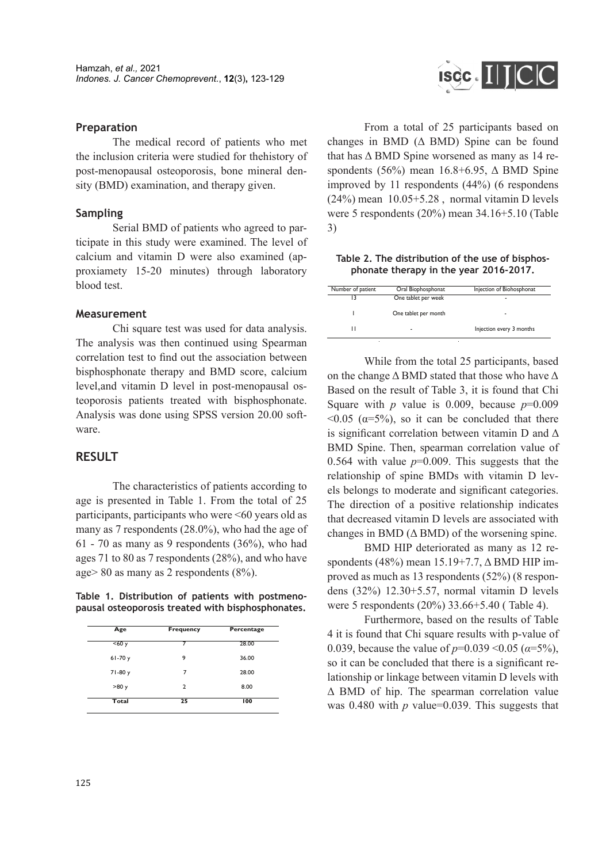#### **Preparation**

The medical record of patients who met the inclusion criteria were studied for thehistory of post-menopausal osteoporosis, bone mineral density (BMD) examination, and therapy given.

#### **Sampling**

Serial BMD of patients who agreed to participate in this study were examined. The level of calcium and vitamin D were also examined (approxiamety 15-20 minutes) through laboratory blood test.

#### **Measurement**

Chi square test was used for data analysis. The analysis was then continued using Spearman correlation test to find out the association between bisphosphonate therapy and BMD score, calcium level,and vitamin D level in post-menopausal osteoporosis patients treated with bisphosphonate. Analysis was done using SPSS version 20.00 software.

## **RESULT**

The characteristics of patients according to age is presented in Table 1. From the total of 25 participants, participants who were <60 years old as many as 7 respondents (28.0%), who had the age of  $61 - 70$  as many as 9 respondents  $(36\%)$ , who had ages 71 to 80 as 7 respondents (28%), and who have age> 80 as many as 2 respondents (8%).

**Table 1. Distribution of patients with postmenopausal osteoporosis treated with bisphosphonates.**

| Age      | <b>Frequency</b> | Percentage |  |  |
|----------|------------------|------------|--|--|
| <60y     | 7                | 28.00      |  |  |
| $61-70y$ | 9                | 36.00      |  |  |
| 71-80 y  | 7                | 28.00      |  |  |
| >80y     | $\overline{2}$   | 8.00       |  |  |
| Total    | 25               | 100        |  |  |



From a total of 25 participants based on changes in BMD  $( \Delta$  BMD) Spine can be found that has  $\triangle$  BMD Spine worsened as many as 14 respondents (56%) mean  $16.8+6.95$ ,  $\Delta$  BMD Spine improved by 11 respondents (44%) (6 respondens (24%) mean 10.05+5.28 , normal vitamin D levels were 5 respondents (20%) mean 34.16+5.10 (Table 3)

**Table 2. The distribution of the use of bisphosphonate therapy in the year 2016-2017.**

| Number of patient | Oral Biophosphonat   | Injection of Biohosphonat |
|-------------------|----------------------|---------------------------|
|                   | One tablet per week  |                           |
|                   | One tablet per month |                           |
|                   | ۰                    | Injection every 3 months  |

While from the total 25 participants, based on the change  $\Delta$  BMD stated that those who have  $\Delta$ Based on the result of Table 3, it is found that Chi Square with  $p$  value is 0.009, because  $p=0.009$  $\langle 0.05 \rangle$  ( $\alpha$ =5%), so it can be concluded that there is significant correlation between vitamin D and  $\Delta$ BMD Spine. Then, spearman correlation value of 0.564 with value  $p=0.009$ . This suggests that the relationship of spine BMDs with vitamin D levels belongs to moderate and significant categories. The direction of a positive relationship indicates that decreased vitamin D levels are associated with changes in BMD  $( \Delta$  BMD) of the worsening spine.

BMD HIP deteriorated as many as 12 respondents (48%) mean 15.19+7.7, Δ BMD HIP improved as much as 13 respondents (52%) (8 respondens (32%) 12.30+5.57, normal vitamin D levels were 5 respondents (20%) 33.66+5.40 ( Table 4).

Furthermore, based on the results of Table 4 it is found that Chi square results with p-value of 0.039, because the value of  $p=0.039 \le 0.05$  ( $\alpha=5\%$ ), so it can be concluded that there is a significant relationship or linkage between vitamin D levels with Δ BMD of hip. The spearman correlation value was 0.480 with *p* value=0.039. This suggests that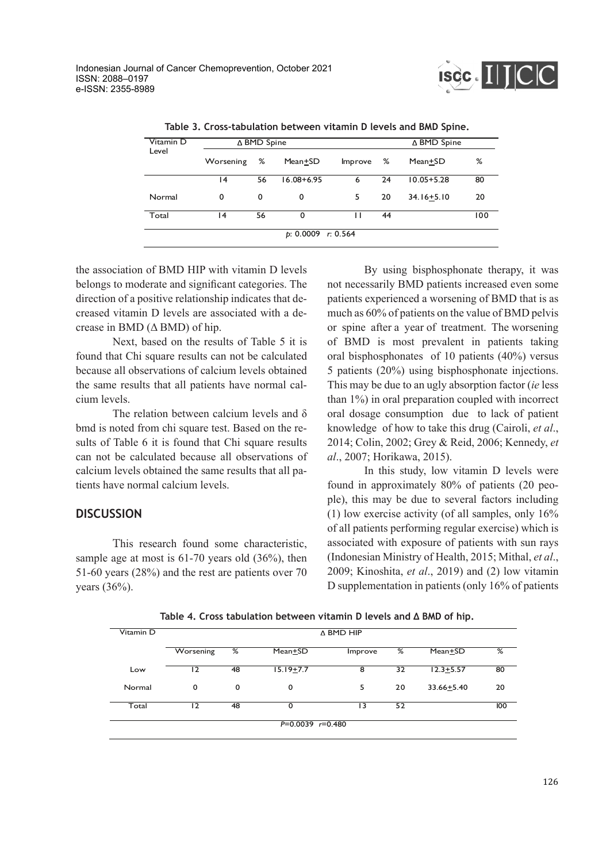

| Table 3. Cross-tabulation between vitamin D levels and BMD Spine. |
|-------------------------------------------------------------------|
|-------------------------------------------------------------------|

| Vitamin D |                           | ∆ BMD Spine |                |         | ∆ BMD Spine |                |     |  |  |
|-----------|---------------------------|-------------|----------------|---------|-------------|----------------|-----|--|--|
| Level     | ℅<br>Mean+SD<br>Worsening |             |                | Improve | %           | Mean+SD        | %   |  |  |
|           | 14                        | 56          | $16.08 + 6.95$ | 6       | 24          | $10.05 + 5.28$ | 80  |  |  |
| Normal    | 0                         | 0           | 0              | 5       | 20          | $34.16 + 5.10$ | 20  |  |  |
| Total     | 14                        | 56          | $\Omega$       |         | 44          |                | 100 |  |  |
|           | $p: 0.0009$ r: 0.564      |             |                |         |             |                |     |  |  |

the association of BMD HIP with vitamin D levels belongs to moderate and significant categories. The direction of a positive relationship indicates that decreased vitamin D levels are associated with a decrease in BMD  $( \Delta$  BMD) of hip.

Next, based on the results of Table 5 it is found that Chi square results can not be calculated because all observations of calcium levels obtained the same results that all patients have normal calcium levels.

The relation between calcium levels and δ bmd is noted from chi square test. Based on the results of Table 6 it is found that Chi square results can not be calculated because all observations of calcium levels obtained the same results that all patients have normal calcium levels.

# **DISCUSSION**

This research found some characteristic, sample age at most is 61-70 years old  $(36\%)$ , then 51-60 years (28%) and the rest are patients over 70 years (36%).

By using bisphosphonate therapy, it was not necessarily BMD patients increased even some patients experienced a worsening of BMD that is as much as 60% of patients on the value of BMD pelvis or spine after a year of treatment. The worsening of BMD is most prevalent in patients taking oral bisphosphonates of 10 patients (40%) versus 5 patients (20%) using bisphosphonate injections. This may be due to an ugly absorption factor (*ie* less than 1%) in oral preparation coupled with incorrect oral dosage consumption due to lack of patient knowledge of how to take this drug (Cairoli, *et al*., 2014; Colin, 2002; Grey & Reid, 2006; Kennedy, *et al*., 2007; Horikawa, 2015).

In this study, low vitamin D levels were found in approximately 80% of patients (20 people), this may be due to several factors including (1) low exercise activity (of all samples, only 16% of all patients performing regular exercise) which is associated with exposure of patients with sun rays (Indonesian Ministry of Health, 2015; Mithal, *et al*., 2009; Kinoshita, *et al*., 2019) and (2) low vitamin D supplementation in patients (only 16% of patients

| Table 4. Cross tabulation between vitamin D levels and $\Delta$ BMD of hip. |  |  |
|-----------------------------------------------------------------------------|--|--|
|-----------------------------------------------------------------------------|--|--|

| Vitamin D | A BMD HIP |    |                      |         |    |               |     |  |  |
|-----------|-----------|----|----------------------|---------|----|---------------|-----|--|--|
|           | Worsening | ⅋  | Mean+SD              | Improve | %  | Mean+SD       | %   |  |  |
| Low       | 12        | 48 | $15.19 + 7.7$        | 8       | 32 | $12.3 + 5.57$ | 80  |  |  |
| Normal    | 0         | 0  | 0                    | 5       | 20 | 33.66+5.40    | 20  |  |  |
| Total     | 12        | 48 | 0                    | 13      | 52 |               | 100 |  |  |
|           |           |    | $P=0.0039$ $r=0.480$ |         |    |               |     |  |  |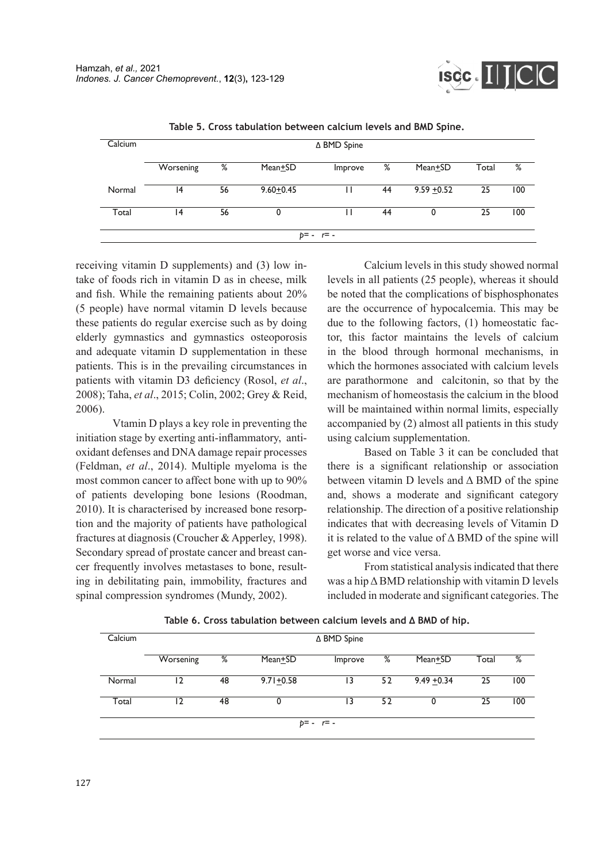

| Calcium |           |    |                      | ∆ BMD Spine  |    |                      |       |     |
|---------|-----------|----|----------------------|--------------|----|----------------------|-------|-----|
|         |           |    |                      |              |    |                      |       |     |
|         | Worsening | %  | Mean <sup>+</sup> SD | Improve      | %  | Mean <sup>+</sup> SD | Total | %   |
|         |           |    |                      |              |    |                      |       |     |
| Normal  | 14        | 56 | $9.60 + 0.45$        |              | 44 | $9.59 + 0.52$        | 25    | 100 |
|         |           |    |                      |              |    |                      |       |     |
| Total   | <b>4</b>  | 56 | 0                    |              | 44 |                      | 25    | 100 |
|         |           |    |                      |              |    |                      |       |     |
|         |           |    |                      | $p = -r = -$ |    |                      |       |     |
|         |           |    |                      |              |    |                      |       |     |

**Table 5. Cross tabulation between calcium levels and BMD Spine.**

receiving vitamin D supplements) and (3) low intake of foods rich in vitamin D as in cheese, milk and fish. While the remaining patients about 20% (5 people) have normal vitamin D levels because these patients do regular exercise such as by doing elderly gymnastics and gymnastics osteoporosis and adequate vitamin D supplementation in these patients. This is in the prevailing circumstances in patients with vitamin D3 deficiency (Rosol, *et al*., 2008); Taha, *et al*., 2015; Colin, 2002; Grey & Reid, 2006).

Vtamin D plays a key role in preventing the initiation stage by exerting anti-inflammatory, antioxidant defenses and DNA damage repair processes (Feldman, *et al*., 2014). Multiple myeloma is the most common cancer to affect bone with up to 90% of patients developing bone lesions (Roodman, 2010). It is characterised by increased bone resorption and the majority of patients have pathological fractures at diagnosis (Croucher & Apperley, 1998). Secondary spread of prostate cancer and breast cancer frequently involves metastases to bone, resulting in debilitating pain, immobility, fractures and spinal compression syndromes (Mundy, 2002).

Calcium levels in this study showed normal levels in all patients (25 people), whereas it should be noted that the complications of bisphosphonates are the occurrence of hypocalcemia. This may be due to the following factors, (1) homeostatic factor, this factor maintains the levels of calcium in the blood through hormonal mechanisms, in which the hormones associated with calcium levels are parathormone and calcitonin, so that by the mechanism of homeostasis the calcium in the blood will be maintained within normal limits, especially accompanied by (2) almost all patients in this study using calcium supplementation.

Based on Table 3 it can be concluded that there is a significant relationship or association between vitamin D levels and Δ BMD of the spine and, shows a moderate and significant category relationship. The direction of a positive relationship indicates that with decreasing levels of Vitamin D it is related to the value of  $\triangle$  BMD of the spine will get worse and vice versa.

From statistical analysis indicated that there was a hip Δ BMD relationship with vitamin D levels included in moderate and significant categories. The

| Calcium |           |    |               | ∆ BMD Spine |    |               |       |     |  |
|---------|-----------|----|---------------|-------------|----|---------------|-------|-----|--|
|         | Worsening | %  | Mean+SD       | Improve     | %  | Mean+SD       | Total | %   |  |
| Normal  | 12        | 48 | $9.71 + 0.58$ | 13          | 52 | $9.49 + 0.34$ | 25    | 100 |  |
| Total   | 12        | 48 | 0             | 13          | 52 | 0             | 25    | 100 |  |
|         |           |    |               | p= - r= -   |    |               |       |     |  |

**Table 6. Cross tabulation between calcium levels and Δ BMD of hip.**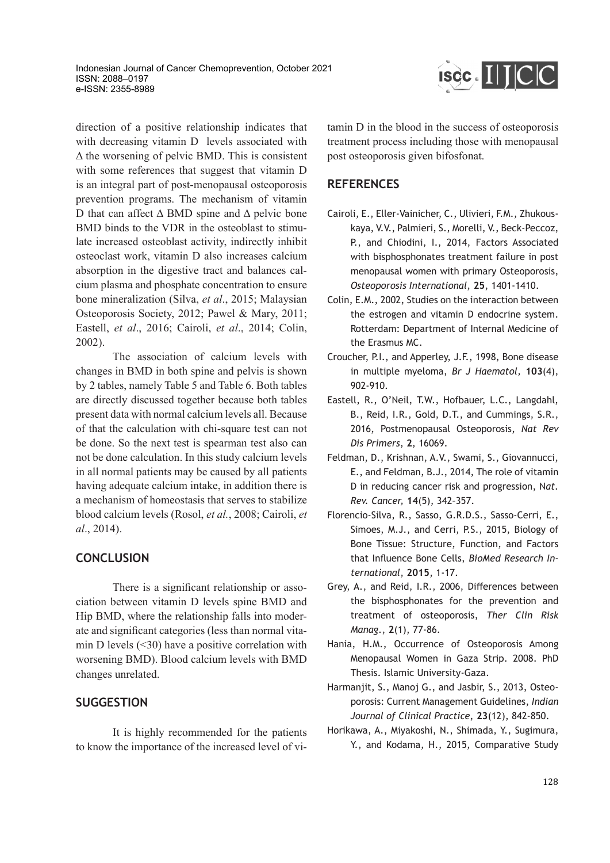Indonesian Journal of Cancer Chemoprevention, October 2021 ISSN: 2088–0197 e-ISSN: 2355-8989



direction of a positive relationship indicates that with decreasing vitamin D levels associated with  $\Delta$  the worsening of pelvic BMD. This is consistent with some references that suggest that vitamin D is an integral part of post-menopausal osteoporosis prevention programs. The mechanism of vitamin D that can affect  $\Delta$  BMD spine and  $\Delta$  pelvic bone BMD binds to the VDR in the osteoblast to stimulate increased osteoblast activity, indirectly inhibit osteoclast work, vitamin D also increases calcium absorption in the digestive tract and balances calcium plasma and phosphate concentration to ensure bone mineralization (Silva, *et al*., 2015; Malaysian Osteoporosis Society, 2012; Pawel & Mary, 2011; Eastell, *et al*., 2016; Cairoli, *et al*., 2014; Colin, 2002).

The association of calcium levels with changes in BMD in both spine and pelvis is shown by 2 tables, namely Table 5 and Table 6. Both tables are directly discussed together because both tables present data with normal calcium levels all. Because of that the calculation with chi-square test can not be done. So the next test is spearman test also can not be done calculation. In this study calcium levels in all normal patients may be caused by all patients having adequate calcium intake, in addition there is a mechanism of homeostasis that serves to stabilize blood calcium levels (Rosol, *et al.*, 2008; Cairoli, *et al*., 2014).

# **CONCLUSION**

There is a significant relationship or association between vitamin D levels spine BMD and Hip BMD, where the relationship falls into moderate and significant categories (less than normal vitamin D levels  $(\leq 30)$  have a positive correlation with worsening BMD). Blood calcium levels with BMD changes unrelated.

# **SUGGESTION**

It is highly recommended for the patients to know the importance of the increased level of vitamin D in the blood in the success of osteoporosis treatment process including those with menopausal post osteoporosis given bifosfonat.

## **REFERENCES**

- Cairoli, E., Eller-Vainicher, C., Ulivieri, F.M., Zhukouskaya, V.V., Palmieri, S., Morelli, V., Beck-Peccoz, P., and Chiodini, I., 2014, Factors Associated with bisphosphonates treatment failure in post menopausal women with primary Osteoporosis, *Osteoporosis International*, **25**, 1401-1410.
- Colin, E.M., 2002, Studies on the interaction between the estrogen and vitamin D endocrine system. Rotterdam: Department of Internal Medicine of the Erasmus MC.
- Croucher, P.I., and Apperley, J.F., 1998, Bone disease in multiple myeloma, *Br J Haematol,* **103**(4), 902-910.
- Eastell, R., O'Neil, T.W., Hofbauer, L.C., Langdahl, B., Reid, I.R., Gold, D.T., and Cummings, S.R., 2016, Postmenopausal Osteoporosis, *Nat Rev Dis Primers*, **2**, 16069.
- Feldman, D., Krishnan, A.V., Swami, S., Giovannucci, E., and Feldman, B.J., 2014, The role of vitamin D in reducing cancer risk and progression, N*at. Rev. Cancer,* **14**(5), 342–357.
- Florencio-Silva, R., Sasso, G.R.D.S., Sasso-Cerri, E., Simoes, M.J., and Cerri, P.S., 2015, Biology of Bone Tissue: Structure, Function, and Factors that Influence Bone Cells, *BioMed Research International*, **2015**, 1-17.
- Grey, A., and Reid, I.R., 2006, Differences between the bisphosphonates for the prevention and treatment of osteoporosis, *Ther Clin Risk Manag*., **2**(1), 77-86.
- Hania, H.M., Occurrence of Osteoporosis Among Menopausal Women in Gaza Strip. 2008. PhD Thesis. Islamic University-Gaza.
- Harmanjit, S., Manoj G., and Jasbir, S., 2013, Osteoporosis: Current Management Guidelines, *Indian Journal of Clinical Practice*, **23**(12), 842-850.
- Horikawa, A., Miyakoshi, N., Shimada, Y., Sugimura, Y., and Kodama, H., 2015, Comparative Study